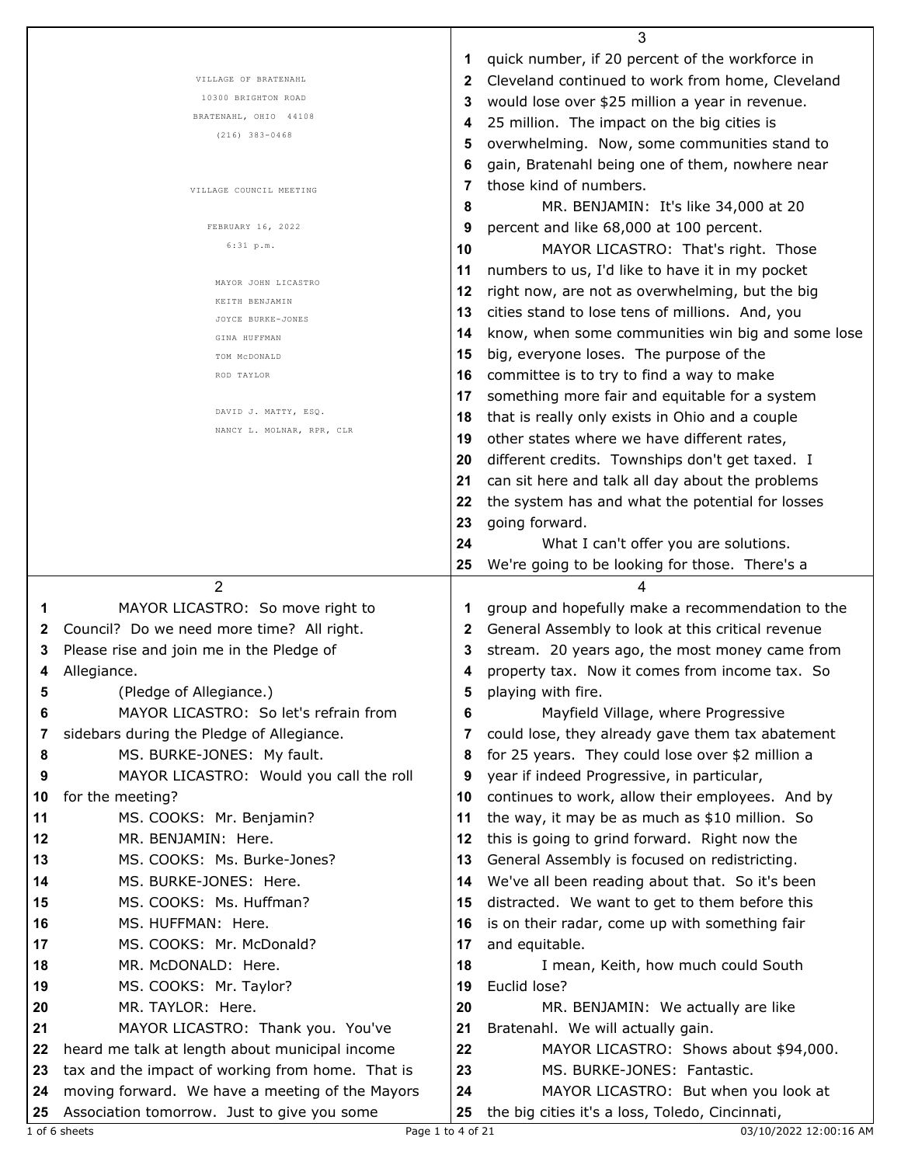|    |                                                  |    | 3                                                 |
|----|--------------------------------------------------|----|---------------------------------------------------|
|    |                                                  | 1  | quick number, if 20 percent of the workforce in   |
|    | VILLAGE OF BRATENAHL                             | 2  | Cleveland continued to work from home, Cleveland  |
|    | 10300 BRIGHTON ROAD                              | 3  | would lose over \$25 million a year in revenue.   |
|    | BRATENAHL, OHIO 44108                            | 4  | 25 million. The impact on the big cities is       |
|    | $(216)$ 383-0468                                 | 5  | overwhelming. Now, some communities stand to      |
|    |                                                  | 6  | gain, Bratenahl being one of them, nowhere near   |
|    |                                                  | 7  | those kind of numbers.                            |
|    | VILLAGE COUNCIL MEETING                          | 8  | MR. BENJAMIN: It's like 34,000 at 20              |
|    | FEBRUARY 16, 2022                                | 9  | percent and like 68,000 at 100 percent.           |
|    | $6:31$ p.m.                                      |    |                                                   |
|    |                                                  | 10 | MAYOR LICASTRO: That's right. Those               |
|    | MAYOR JOHN LICASTRO                              | 11 | numbers to us, I'd like to have it in my pocket   |
|    | KEITH BENJAMIN                                   | 12 | right now, are not as overwhelming, but the big   |
|    | JOYCE BURKE-JONES                                | 13 | cities stand to lose tens of millions. And, you   |
|    | GINA HUFFMAN                                     | 14 | know, when some communities win big and some lose |
|    | TOM MCDONALD                                     | 15 | big, everyone loses. The purpose of the           |
|    | ROD TAYLOR                                       | 16 | committee is to try to find a way to make         |
|    |                                                  | 17 | something more fair and equitable for a system    |
|    | DAVID J. MATTY, ESQ.                             | 18 | that is really only exists in Ohio and a couple   |
|    | NANCY L. MOLNAR, RPR, CLR                        | 19 | other states where we have different rates,       |
|    |                                                  | 20 | different credits. Townships don't get taxed. I   |
|    |                                                  | 21 | can sit here and talk all day about the problems  |
|    |                                                  | 22 | the system has and what the potential for losses  |
|    |                                                  | 23 | going forward.                                    |
|    |                                                  | 24 | What I can't offer you are solutions.             |
|    |                                                  | 25 | We're going to be looking for those. There's a    |
|    | 2                                                |    |                                                   |
|    |                                                  |    | 4                                                 |
|    |                                                  |    |                                                   |
| 1  | MAYOR LICASTRO: So move right to                 | 1  | group and hopefully make a recommendation to the  |
| 2  | Council? Do we need more time? All right.        | 2  | General Assembly to look at this critical revenue |
| 3  | Please rise and join me in the Pledge of         | 3  | stream. 20 years ago, the most money came from    |
| 4  | Allegiance.                                      | 4  | property tax. Now it comes from income tax. So    |
|    | (Pledge of Allegiance.)                          |    | playing with fire.                                |
| 6  | MAYOR LICASTRO: So let's refrain from            | 6  | Mayfield Village, where Progressive               |
| 7  | sidebars during the Pledge of Allegiance.        | 7  | could lose, they already gave them tax abatement  |
| 8  | MS. BURKE-JONES: My fault.                       | 8  | for 25 years. They could lose over \$2 million a  |
| 9  | MAYOR LICASTRO: Would you call the roll          | 9  | year if indeed Progressive, in particular,        |
| 10 | for the meeting?                                 | 10 | continues to work, allow their employees. And by  |
| 11 | MS. COOKS: Mr. Benjamin?                         | 11 | the way, it may be as much as \$10 million. So    |
| 12 | MR. BENJAMIN: Here.                              | 12 | this is going to grind forward. Right now the     |
| 13 | MS. COOKS: Ms. Burke-Jones?                      | 13 | General Assembly is focused on redistricting.     |
| 14 | MS. BURKE-JONES: Here.                           | 14 | We've all been reading about that. So it's been   |
| 15 | MS. COOKS: Ms. Huffman?                          | 15 | distracted. We want to get to them before this    |
| 16 | MS. HUFFMAN: Here.                               | 16 | is on their radar, come up with something fair    |
| 17 | MS. COOKS: Mr. McDonald?                         | 17 | and equitable.                                    |
| 18 | MR. McDONALD: Here.                              | 18 | I mean, Keith, how much could South               |
| 19 | MS. COOKS: Mr. Taylor?                           | 19 | Euclid lose?                                      |
| 20 | MR. TAYLOR: Here.                                | 20 | MR. BENJAMIN: We actually are like                |
| 21 | MAYOR LICASTRO: Thank you. You've                | 21 | Bratenahl. We will actually gain.                 |
| 22 | heard me talk at length about municipal income   | 22 | MAYOR LICASTRO: Shows about \$94,000.             |
| 23 | tax and the impact of working from home. That is | 23 | MS. BURKE-JONES: Fantastic.                       |
| 24 | moving forward. We have a meeting of the Mayors  | 24 | MAYOR LICASTRO: But when you look at              |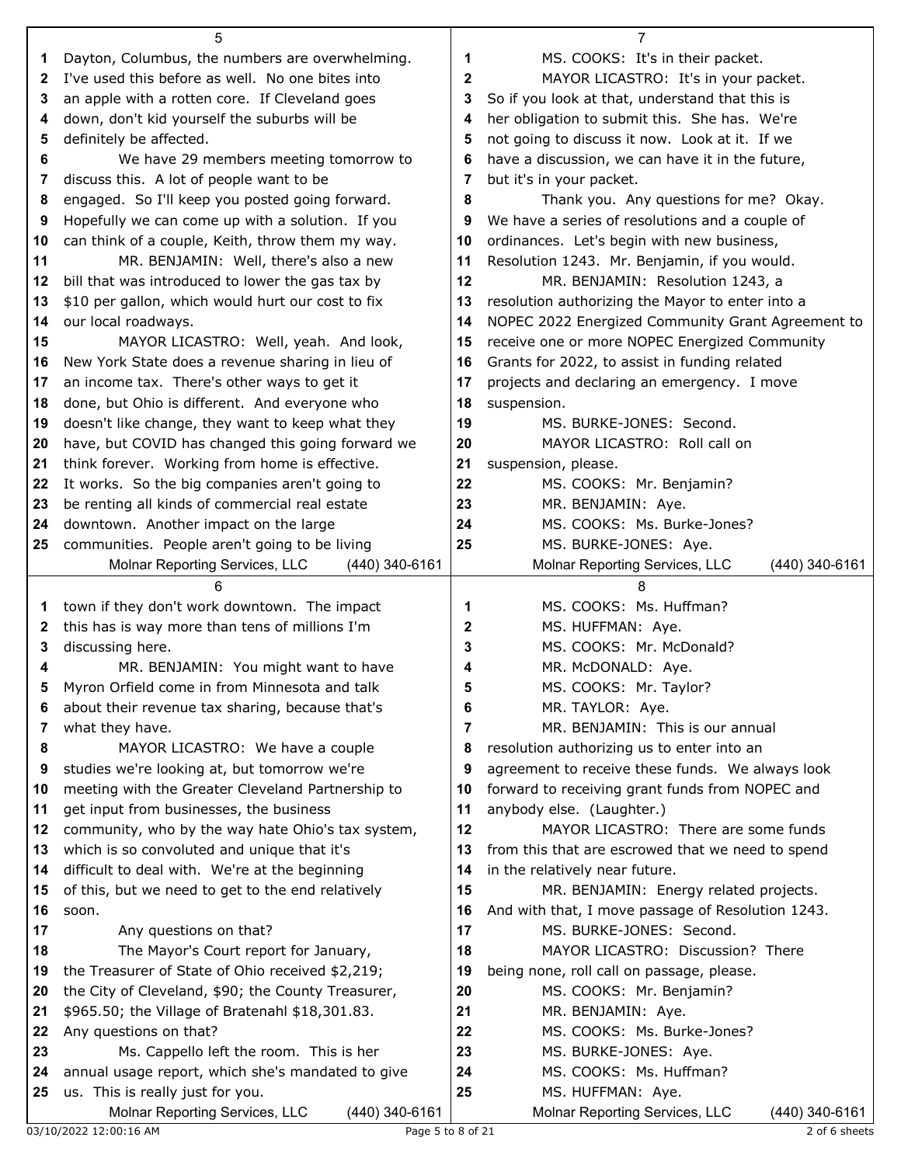|          | 5                                                                                     |              | 7                                                 |
|----------|---------------------------------------------------------------------------------------|--------------|---------------------------------------------------|
| 1        | Dayton, Columbus, the numbers are overwhelming.                                       | 1            | MS. COOKS: It's in their packet.                  |
| 2        | I've used this before as well. No one bites into                                      | $\mathbf{2}$ | MAYOR LICASTRO: It's in your packet.              |
| 3        | an apple with a rotten core. If Cleveland goes                                        | 3            | So if you look at that, understand that this is   |
| 4        | down, don't kid yourself the suburbs will be                                          | 4            | her obligation to submit this. She has. We're     |
| 5        | definitely be affected.                                                               | 5            | not going to discuss it now. Look at it. If we    |
| 6        | We have 29 members meeting tomorrow to                                                | 6            | have a discussion, we can have it in the future,  |
| 7        | discuss this. A lot of people want to be                                              | 7            | but it's in your packet.                          |
| 8        | engaged. So I'll keep you posted going forward.                                       | 8            | Thank you. Any questions for me? Okay.            |
| 9        | Hopefully we can come up with a solution. If you                                      | 9            | We have a series of resolutions and a couple of   |
| 10       | can think of a couple, Keith, throw them my way.                                      | 10           | ordinances. Let's begin with new business,        |
| 11       | MR. BENJAMIN: Well, there's also a new                                                | 11           | Resolution 1243. Mr. Benjamin, if you would.      |
| 12       | bill that was introduced to lower the gas tax by                                      | 12           | MR. BENJAMIN: Resolution 1243, a                  |
| 13       | \$10 per gallon, which would hurt our cost to fix                                     | 13           | resolution authorizing the Mayor to enter into a  |
| 14       | our local roadways.                                                                   | 14           | NOPEC 2022 Energized Community Grant Agreement to |
| 15       | MAYOR LICASTRO: Well, yeah. And look,                                                 | 15           | receive one or more NOPEC Energized Community     |
| 16       | New York State does a revenue sharing in lieu of                                      | 16           | Grants for 2022, to assist in funding related     |
| 17       | an income tax. There's other ways to get it                                           | 17           | projects and declaring an emergency. I move       |
| 18       | done, but Ohio is different. And everyone who                                         | 18           | suspension.                                       |
| 19       | doesn't like change, they want to keep what they                                      | 19           | MS. BURKE-JONES: Second.                          |
| 20       | have, but COVID has changed this going forward we                                     | 20           | MAYOR LICASTRO: Roll call on                      |
| 21       | think forever. Working from home is effective.                                        | 21           | suspension, please.                               |
| 22       | It works. So the big companies aren't going to                                        | 22           | MS. COOKS: Mr. Benjamin?                          |
| 23       | be renting all kinds of commercial real estate                                        | 23           | MR. BENJAMIN: Aye.                                |
| 24       | downtown. Another impact on the large                                                 | 24           | MS. COOKS: Ms. Burke-Jones?                       |
| 25       | communities. People aren't going to be living                                         | 25           | MS. BURKE-JONES: Aye.                             |
|          | Molnar Reporting Services, LLC<br>(440) 340-6161                                      |              | (440) 340-6161<br>Molnar Reporting Services, LLC  |
|          |                                                                                       |              |                                                   |
|          | 6                                                                                     |              | 8                                                 |
| 1        | town if they don't work downtown. The impact                                          | 1            | MS. COOKS: Ms. Huffman?                           |
| 2        | this has is way more than tens of millions I'm                                        | 2            | MS. HUFFMAN: Aye.                                 |
| 3        | discussing here.                                                                      | 3            | MS. COOKS: Mr. McDonald?                          |
| 4        | MR. BENJAMIN: You might want to have                                                  | 4            | MR. McDONALD: Aye.                                |
| 5        | Myron Orfield come in from Minnesota and talk                                         | 5            | MS. COOKS: Mr. Taylor?                            |
| 6        | about their revenue tax sharing, because that's                                       | 6            | MR. TAYLOR: Aye.                                  |
| 7        | what they have.                                                                       | 7            | MR. BENJAMIN: This is our annual                  |
| 8        | MAYOR LICASTRO: We have a couple                                                      | 8            | resolution authorizing us to enter into an        |
| 9        | studies we're looking at, but tomorrow we're                                          | 9            | agreement to receive these funds. We always look  |
| 10       | meeting with the Greater Cleveland Partnership to                                     | 10           | forward to receiving grant funds from NOPEC and   |
| 11       | get input from businesses, the business                                               | 11           | anybody else. (Laughter.)                         |
| 12       | community, who by the way hate Ohio's tax system,                                     | 12           | MAYOR LICASTRO: There are some funds              |
| 13       | which is so convoluted and unique that it's                                           | 13           | from this that are escrowed that we need to spend |
| 14       | difficult to deal with. We're at the beginning                                        | 14           | in the relatively near future.                    |
| 15       | of this, but we need to get to the end relatively                                     | 15           | MR. BENJAMIN: Energy related projects.            |
| 16       | soon.                                                                                 | 16           | And with that, I move passage of Resolution 1243. |
| 17       | Any questions on that?                                                                | 17           | MS. BURKE-JONES: Second.                          |
| 18       | The Mayor's Court report for January,                                                 | 18           | MAYOR LICASTRO: Discussion? There                 |
| 19       | the Treasurer of State of Ohio received \$2,219;                                      | 19           | being none, roll call on passage, please.         |
| 20       | the City of Cleveland, \$90; the County Treasurer,                                    | 20           | MS. COOKS: Mr. Benjamin?                          |
| 21       | \$965.50; the Village of Bratenahl \$18,301.83.                                       | 21           | MR. BENJAMIN: Aye.                                |
| 22<br>23 | Any questions on that?                                                                | 22           | MS. COOKS: Ms. Burke-Jones?                       |
| 24       | Ms. Cappello left the room. This is her                                               | 23<br>24     | MS. BURKE-JONES: Aye.<br>MS. COOKS: Ms. Huffman?  |
| 25       | annual usage report, which she's mandated to give<br>us. This is really just for you. | 25           | MS. HUFFMAN: Aye.                                 |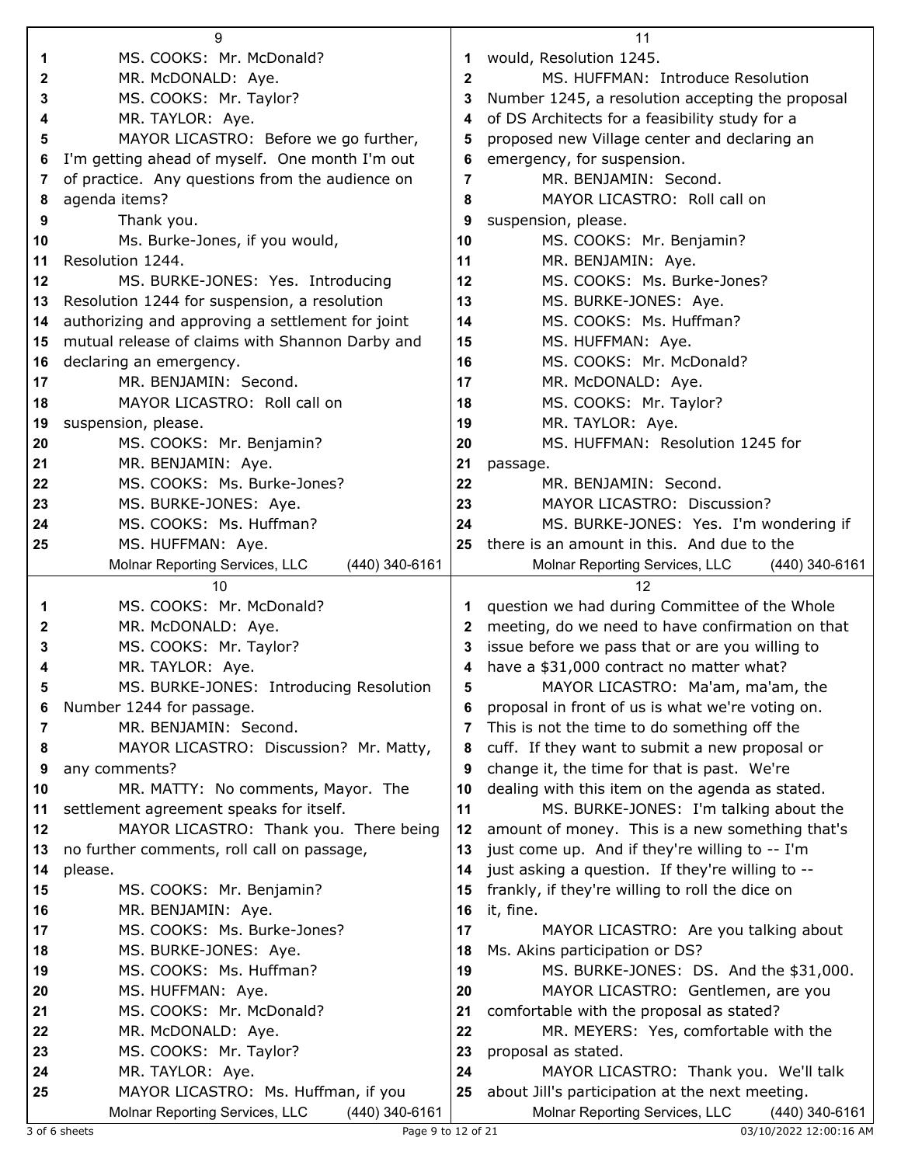| MS. COOKS: Mr. McDonald?<br>would, Resolution 1245.<br>1<br>1<br>MR. McDONALD: Aye.<br>$\mathbf{2}$<br>MS. HUFFMAN: Introduce Resolution<br>2<br>MS. COOKS: Mr. Taylor?<br>Number 1245, a resolution accepting the proposal<br>3<br>3<br>of DS Architects for a feasibility study for a<br>MR. TAYLOR: Aye.<br>4<br>4<br>MAYOR LICASTRO: Before we go further,<br>proposed new Village center and declaring an<br>5<br>5<br>I'm getting ahead of myself. One month I'm out<br>emergency, for suspension.<br>6<br>6<br>of practice. Any questions from the audience on<br>MR. BENJAMIN: Second.<br>7<br>7<br>agenda items?<br>MAYOR LICASTRO: Roll call on<br>8<br>8<br>Thank you.<br>suspension, please.<br>9<br>9<br>Ms. Burke-Jones, if you would,<br>MS. COOKS: Mr. Benjamin?<br>10<br>10<br>Resolution 1244.<br>MR. BENJAMIN: Aye.<br>11<br>11<br>MS. COOKS: Ms. Burke-Jones?<br>MS. BURKE-JONES: Yes. Introducing<br>12<br>12<br>Resolution 1244 for suspension, a resolution<br>MS. BURKE-JONES: Aye.<br>13<br>13<br>MS. COOKS: Ms. Huffman?<br>authorizing and approving a settlement for joint<br>14<br>14<br>mutual release of claims with Shannon Darby and<br>15<br>MS. HUFFMAN: Aye.<br>15<br>MS. COOKS: Mr. McDonald?<br>declaring an emergency.<br>16<br>16<br>MR. BENJAMIN: Second.<br>MR. McDONALD: Aye.<br>17<br>17<br>MAYOR LICASTRO: Roll call on<br>MS. COOKS: Mr. Taylor?<br>18<br>18<br>MR. TAYLOR: Aye.<br>suspension, please.<br>19<br>19<br>MS. COOKS: Mr. Benjamin?<br>MS. HUFFMAN: Resolution 1245 for<br>20<br>20<br>MR. BENJAMIN: Aye.<br>21<br>21<br>passage.<br>MS. COOKS: Ms. Burke-Jones?<br>22<br>MR. BENJAMIN: Second.<br>22<br>MS. BURKE-JONES: Aye.<br>MAYOR LICASTRO: Discussion?<br>23<br>23<br>MS. COOKS: Ms. Huffman?<br>MS. BURKE-JONES: Yes. I'm wondering if<br>24<br>24<br>there is an amount in this. And due to the<br>MS. HUFFMAN: Aye.<br>25<br>25<br>Molnar Reporting Services, LLC<br>(440) 340-6161<br>Molnar Reporting Services, LLC<br>(440) 340-6161<br>10<br>12<br>MS. COOKS: Mr. McDonald?<br>question we had during Committee of the Whole<br>1<br>1<br>meeting, do we need to have confirmation on that<br>MR. McDONALD: Aye.<br>2<br>2<br>MS. COOKS: Mr. Taylor?<br>issue before we pass that or are you willing to<br>3<br>3<br>have a \$31,000 contract no matter what?<br>MR. TAYLOR: Aye.<br>4<br>MS. BURKE-JONES: Introducing Resolution<br>MAYOR LICASTRO: Ma'am, ma'am, the<br>5<br>5<br>Number 1244 for passage.<br>proposal in front of us is what we're voting on.<br>6<br>6<br>MR. BENJAMIN: Second.<br>This is not the time to do something off the<br>7<br>7<br>cuff. If they want to submit a new proposal or<br>MAYOR LICASTRO: Discussion? Mr. Matty,<br>8<br>8<br>change it, the time for that is past. We're<br>any comments?<br>9<br>9<br>dealing with this item on the agenda as stated.<br>MR. MATTY: No comments, Mayor. The<br>10<br>10<br>MS. BURKE-JONES: I'm talking about the<br>settlement agreement speaks for itself.<br>11<br>11<br>MAYOR LICASTRO: Thank you. There being<br>amount of money. This is a new something that's<br>12<br>12<br>just come up. And if they're willing to -- I'm<br>no further comments, roll call on passage,<br>13<br>13<br>just asking a question. If they're willing to --<br>please.<br>14<br>14<br>frankly, if they're willing to roll the dice on<br>MS. COOKS: Mr. Benjamin?<br>15<br>15<br>MR. BENJAMIN: Aye.<br>it, fine.<br>16<br>16<br>MS. COOKS: Ms. Burke-Jones?<br>17<br>MAYOR LICASTRO: Are you talking about<br>17<br>MS. BURKE-JONES: Aye.<br>Ms. Akins participation or DS?<br>18<br>18<br>MS. COOKS: Ms. Huffman?<br>19<br>MS. BURKE-JONES: DS. And the \$31,000.<br>19<br>MS. HUFFMAN: Aye.<br>20<br>MAYOR LICASTRO: Gentlemen, are you<br>20<br>MS. COOKS: Mr. McDonald?<br>comfortable with the proposal as stated?<br>21<br>21<br>MR. McDONALD: Aye.<br>22<br>MR. MEYERS: Yes, comfortable with the<br>22<br>MS. COOKS: Mr. Taylor?<br>23<br>proposal as stated.<br>23<br>MR. TAYLOR: Aye.<br>MAYOR LICASTRO: Thank you. We'll talk<br>24<br>24<br>MAYOR LICASTRO: Ms. Huffman, if you<br>about Jill's participation at the next meeting.<br>25<br>25<br>Molnar Reporting Services, LLC<br>Molnar Reporting Services, LLC<br>$(440)$ 340-6161<br>(440) 340-6161 | 9 | 11 |
|---------------------------------------------------------------------------------------------------------------------------------------------------------------------------------------------------------------------------------------------------------------------------------------------------------------------------------------------------------------------------------------------------------------------------------------------------------------------------------------------------------------------------------------------------------------------------------------------------------------------------------------------------------------------------------------------------------------------------------------------------------------------------------------------------------------------------------------------------------------------------------------------------------------------------------------------------------------------------------------------------------------------------------------------------------------------------------------------------------------------------------------------------------------------------------------------------------------------------------------------------------------------------------------------------------------------------------------------------------------------------------------------------------------------------------------------------------------------------------------------------------------------------------------------------------------------------------------------------------------------------------------------------------------------------------------------------------------------------------------------------------------------------------------------------------------------------------------------------------------------------------------------------------------------------------------------------------------------------------------------------------------------------------------------------------------------------------------------------------------------------------------------------------------------------------------------------------------------------------------------------------------------------------------------------------------------------------------------------------------------------------------------------------------------------------------------------------------------------------------------------------------------------------------------------------------------------------------------------------------------------------------------------------------------------------------------------------------------------------------------------------------------------------------------------------------------------------------------------------------------------------------------------------------------------------------------------------------------------------------------------------------------------------------------------------------------------------------------------------------------------------------------------------------------------------------------------------------------------------------------------------------------------------------------------------------------------------------------------------------------------------------------------------------------------------------------------------------------------------------------------------------------------------------------------------------------------------------------------------------------------------------------------------------------------------------------------------------------------------------------------------------------------------------------------------------------------------------------------------------------------------------------------------------------------------------------------------------------------------------------------------------------------------------------------------------------------------------------------------------------------------------------------------------------------------------------------------------------------------------------------------------------------------------------------------------|---|----|
|                                                                                                                                                                                                                                                                                                                                                                                                                                                                                                                                                                                                                                                                                                                                                                                                                                                                                                                                                                                                                                                                                                                                                                                                                                                                                                                                                                                                                                                                                                                                                                                                                                                                                                                                                                                                                                                                                                                                                                                                                                                                                                                                                                                                                                                                                                                                                                                                                                                                                                                                                                                                                                                                                                                                                                                                                                                                                                                                                                                                                                                                                                                                                                                                                                                                                                                                                                                                                                                                                                                                                                                                                                                                                                                                                                                                                                                                                                                                                                                                                                                                                                                                                                                                                                                                                                               |   |    |
|                                                                                                                                                                                                                                                                                                                                                                                                                                                                                                                                                                                                                                                                                                                                                                                                                                                                                                                                                                                                                                                                                                                                                                                                                                                                                                                                                                                                                                                                                                                                                                                                                                                                                                                                                                                                                                                                                                                                                                                                                                                                                                                                                                                                                                                                                                                                                                                                                                                                                                                                                                                                                                                                                                                                                                                                                                                                                                                                                                                                                                                                                                                                                                                                                                                                                                                                                                                                                                                                                                                                                                                                                                                                                                                                                                                                                                                                                                                                                                                                                                                                                                                                                                                                                                                                                                               |   |    |
|                                                                                                                                                                                                                                                                                                                                                                                                                                                                                                                                                                                                                                                                                                                                                                                                                                                                                                                                                                                                                                                                                                                                                                                                                                                                                                                                                                                                                                                                                                                                                                                                                                                                                                                                                                                                                                                                                                                                                                                                                                                                                                                                                                                                                                                                                                                                                                                                                                                                                                                                                                                                                                                                                                                                                                                                                                                                                                                                                                                                                                                                                                                                                                                                                                                                                                                                                                                                                                                                                                                                                                                                                                                                                                                                                                                                                                                                                                                                                                                                                                                                                                                                                                                                                                                                                                               |   |    |
|                                                                                                                                                                                                                                                                                                                                                                                                                                                                                                                                                                                                                                                                                                                                                                                                                                                                                                                                                                                                                                                                                                                                                                                                                                                                                                                                                                                                                                                                                                                                                                                                                                                                                                                                                                                                                                                                                                                                                                                                                                                                                                                                                                                                                                                                                                                                                                                                                                                                                                                                                                                                                                                                                                                                                                                                                                                                                                                                                                                                                                                                                                                                                                                                                                                                                                                                                                                                                                                                                                                                                                                                                                                                                                                                                                                                                                                                                                                                                                                                                                                                                                                                                                                                                                                                                                               |   |    |
|                                                                                                                                                                                                                                                                                                                                                                                                                                                                                                                                                                                                                                                                                                                                                                                                                                                                                                                                                                                                                                                                                                                                                                                                                                                                                                                                                                                                                                                                                                                                                                                                                                                                                                                                                                                                                                                                                                                                                                                                                                                                                                                                                                                                                                                                                                                                                                                                                                                                                                                                                                                                                                                                                                                                                                                                                                                                                                                                                                                                                                                                                                                                                                                                                                                                                                                                                                                                                                                                                                                                                                                                                                                                                                                                                                                                                                                                                                                                                                                                                                                                                                                                                                                                                                                                                                               |   |    |
|                                                                                                                                                                                                                                                                                                                                                                                                                                                                                                                                                                                                                                                                                                                                                                                                                                                                                                                                                                                                                                                                                                                                                                                                                                                                                                                                                                                                                                                                                                                                                                                                                                                                                                                                                                                                                                                                                                                                                                                                                                                                                                                                                                                                                                                                                                                                                                                                                                                                                                                                                                                                                                                                                                                                                                                                                                                                                                                                                                                                                                                                                                                                                                                                                                                                                                                                                                                                                                                                                                                                                                                                                                                                                                                                                                                                                                                                                                                                                                                                                                                                                                                                                                                                                                                                                                               |   |    |
|                                                                                                                                                                                                                                                                                                                                                                                                                                                                                                                                                                                                                                                                                                                                                                                                                                                                                                                                                                                                                                                                                                                                                                                                                                                                                                                                                                                                                                                                                                                                                                                                                                                                                                                                                                                                                                                                                                                                                                                                                                                                                                                                                                                                                                                                                                                                                                                                                                                                                                                                                                                                                                                                                                                                                                                                                                                                                                                                                                                                                                                                                                                                                                                                                                                                                                                                                                                                                                                                                                                                                                                                                                                                                                                                                                                                                                                                                                                                                                                                                                                                                                                                                                                                                                                                                                               |   |    |
|                                                                                                                                                                                                                                                                                                                                                                                                                                                                                                                                                                                                                                                                                                                                                                                                                                                                                                                                                                                                                                                                                                                                                                                                                                                                                                                                                                                                                                                                                                                                                                                                                                                                                                                                                                                                                                                                                                                                                                                                                                                                                                                                                                                                                                                                                                                                                                                                                                                                                                                                                                                                                                                                                                                                                                                                                                                                                                                                                                                                                                                                                                                                                                                                                                                                                                                                                                                                                                                                                                                                                                                                                                                                                                                                                                                                                                                                                                                                                                                                                                                                                                                                                                                                                                                                                                               |   |    |
|                                                                                                                                                                                                                                                                                                                                                                                                                                                                                                                                                                                                                                                                                                                                                                                                                                                                                                                                                                                                                                                                                                                                                                                                                                                                                                                                                                                                                                                                                                                                                                                                                                                                                                                                                                                                                                                                                                                                                                                                                                                                                                                                                                                                                                                                                                                                                                                                                                                                                                                                                                                                                                                                                                                                                                                                                                                                                                                                                                                                                                                                                                                                                                                                                                                                                                                                                                                                                                                                                                                                                                                                                                                                                                                                                                                                                                                                                                                                                                                                                                                                                                                                                                                                                                                                                                               |   |    |
|                                                                                                                                                                                                                                                                                                                                                                                                                                                                                                                                                                                                                                                                                                                                                                                                                                                                                                                                                                                                                                                                                                                                                                                                                                                                                                                                                                                                                                                                                                                                                                                                                                                                                                                                                                                                                                                                                                                                                                                                                                                                                                                                                                                                                                                                                                                                                                                                                                                                                                                                                                                                                                                                                                                                                                                                                                                                                                                                                                                                                                                                                                                                                                                                                                                                                                                                                                                                                                                                                                                                                                                                                                                                                                                                                                                                                                                                                                                                                                                                                                                                                                                                                                                                                                                                                                               |   |    |
|                                                                                                                                                                                                                                                                                                                                                                                                                                                                                                                                                                                                                                                                                                                                                                                                                                                                                                                                                                                                                                                                                                                                                                                                                                                                                                                                                                                                                                                                                                                                                                                                                                                                                                                                                                                                                                                                                                                                                                                                                                                                                                                                                                                                                                                                                                                                                                                                                                                                                                                                                                                                                                                                                                                                                                                                                                                                                                                                                                                                                                                                                                                                                                                                                                                                                                                                                                                                                                                                                                                                                                                                                                                                                                                                                                                                                                                                                                                                                                                                                                                                                                                                                                                                                                                                                                               |   |    |
|                                                                                                                                                                                                                                                                                                                                                                                                                                                                                                                                                                                                                                                                                                                                                                                                                                                                                                                                                                                                                                                                                                                                                                                                                                                                                                                                                                                                                                                                                                                                                                                                                                                                                                                                                                                                                                                                                                                                                                                                                                                                                                                                                                                                                                                                                                                                                                                                                                                                                                                                                                                                                                                                                                                                                                                                                                                                                                                                                                                                                                                                                                                                                                                                                                                                                                                                                                                                                                                                                                                                                                                                                                                                                                                                                                                                                                                                                                                                                                                                                                                                                                                                                                                                                                                                                                               |   |    |
|                                                                                                                                                                                                                                                                                                                                                                                                                                                                                                                                                                                                                                                                                                                                                                                                                                                                                                                                                                                                                                                                                                                                                                                                                                                                                                                                                                                                                                                                                                                                                                                                                                                                                                                                                                                                                                                                                                                                                                                                                                                                                                                                                                                                                                                                                                                                                                                                                                                                                                                                                                                                                                                                                                                                                                                                                                                                                                                                                                                                                                                                                                                                                                                                                                                                                                                                                                                                                                                                                                                                                                                                                                                                                                                                                                                                                                                                                                                                                                                                                                                                                                                                                                                                                                                                                                               |   |    |
|                                                                                                                                                                                                                                                                                                                                                                                                                                                                                                                                                                                                                                                                                                                                                                                                                                                                                                                                                                                                                                                                                                                                                                                                                                                                                                                                                                                                                                                                                                                                                                                                                                                                                                                                                                                                                                                                                                                                                                                                                                                                                                                                                                                                                                                                                                                                                                                                                                                                                                                                                                                                                                                                                                                                                                                                                                                                                                                                                                                                                                                                                                                                                                                                                                                                                                                                                                                                                                                                                                                                                                                                                                                                                                                                                                                                                                                                                                                                                                                                                                                                                                                                                                                                                                                                                                               |   |    |
|                                                                                                                                                                                                                                                                                                                                                                                                                                                                                                                                                                                                                                                                                                                                                                                                                                                                                                                                                                                                                                                                                                                                                                                                                                                                                                                                                                                                                                                                                                                                                                                                                                                                                                                                                                                                                                                                                                                                                                                                                                                                                                                                                                                                                                                                                                                                                                                                                                                                                                                                                                                                                                                                                                                                                                                                                                                                                                                                                                                                                                                                                                                                                                                                                                                                                                                                                                                                                                                                                                                                                                                                                                                                                                                                                                                                                                                                                                                                                                                                                                                                                                                                                                                                                                                                                                               |   |    |
|                                                                                                                                                                                                                                                                                                                                                                                                                                                                                                                                                                                                                                                                                                                                                                                                                                                                                                                                                                                                                                                                                                                                                                                                                                                                                                                                                                                                                                                                                                                                                                                                                                                                                                                                                                                                                                                                                                                                                                                                                                                                                                                                                                                                                                                                                                                                                                                                                                                                                                                                                                                                                                                                                                                                                                                                                                                                                                                                                                                                                                                                                                                                                                                                                                                                                                                                                                                                                                                                                                                                                                                                                                                                                                                                                                                                                                                                                                                                                                                                                                                                                                                                                                                                                                                                                                               |   |    |
|                                                                                                                                                                                                                                                                                                                                                                                                                                                                                                                                                                                                                                                                                                                                                                                                                                                                                                                                                                                                                                                                                                                                                                                                                                                                                                                                                                                                                                                                                                                                                                                                                                                                                                                                                                                                                                                                                                                                                                                                                                                                                                                                                                                                                                                                                                                                                                                                                                                                                                                                                                                                                                                                                                                                                                                                                                                                                                                                                                                                                                                                                                                                                                                                                                                                                                                                                                                                                                                                                                                                                                                                                                                                                                                                                                                                                                                                                                                                                                                                                                                                                                                                                                                                                                                                                                               |   |    |
|                                                                                                                                                                                                                                                                                                                                                                                                                                                                                                                                                                                                                                                                                                                                                                                                                                                                                                                                                                                                                                                                                                                                                                                                                                                                                                                                                                                                                                                                                                                                                                                                                                                                                                                                                                                                                                                                                                                                                                                                                                                                                                                                                                                                                                                                                                                                                                                                                                                                                                                                                                                                                                                                                                                                                                                                                                                                                                                                                                                                                                                                                                                                                                                                                                                                                                                                                                                                                                                                                                                                                                                                                                                                                                                                                                                                                                                                                                                                                                                                                                                                                                                                                                                                                                                                                                               |   |    |
|                                                                                                                                                                                                                                                                                                                                                                                                                                                                                                                                                                                                                                                                                                                                                                                                                                                                                                                                                                                                                                                                                                                                                                                                                                                                                                                                                                                                                                                                                                                                                                                                                                                                                                                                                                                                                                                                                                                                                                                                                                                                                                                                                                                                                                                                                                                                                                                                                                                                                                                                                                                                                                                                                                                                                                                                                                                                                                                                                                                                                                                                                                                                                                                                                                                                                                                                                                                                                                                                                                                                                                                                                                                                                                                                                                                                                                                                                                                                                                                                                                                                                                                                                                                                                                                                                                               |   |    |
|                                                                                                                                                                                                                                                                                                                                                                                                                                                                                                                                                                                                                                                                                                                                                                                                                                                                                                                                                                                                                                                                                                                                                                                                                                                                                                                                                                                                                                                                                                                                                                                                                                                                                                                                                                                                                                                                                                                                                                                                                                                                                                                                                                                                                                                                                                                                                                                                                                                                                                                                                                                                                                                                                                                                                                                                                                                                                                                                                                                                                                                                                                                                                                                                                                                                                                                                                                                                                                                                                                                                                                                                                                                                                                                                                                                                                                                                                                                                                                                                                                                                                                                                                                                                                                                                                                               |   |    |
|                                                                                                                                                                                                                                                                                                                                                                                                                                                                                                                                                                                                                                                                                                                                                                                                                                                                                                                                                                                                                                                                                                                                                                                                                                                                                                                                                                                                                                                                                                                                                                                                                                                                                                                                                                                                                                                                                                                                                                                                                                                                                                                                                                                                                                                                                                                                                                                                                                                                                                                                                                                                                                                                                                                                                                                                                                                                                                                                                                                                                                                                                                                                                                                                                                                                                                                                                                                                                                                                                                                                                                                                                                                                                                                                                                                                                                                                                                                                                                                                                                                                                                                                                                                                                                                                                                               |   |    |
|                                                                                                                                                                                                                                                                                                                                                                                                                                                                                                                                                                                                                                                                                                                                                                                                                                                                                                                                                                                                                                                                                                                                                                                                                                                                                                                                                                                                                                                                                                                                                                                                                                                                                                                                                                                                                                                                                                                                                                                                                                                                                                                                                                                                                                                                                                                                                                                                                                                                                                                                                                                                                                                                                                                                                                                                                                                                                                                                                                                                                                                                                                                                                                                                                                                                                                                                                                                                                                                                                                                                                                                                                                                                                                                                                                                                                                                                                                                                                                                                                                                                                                                                                                                                                                                                                                               |   |    |
|                                                                                                                                                                                                                                                                                                                                                                                                                                                                                                                                                                                                                                                                                                                                                                                                                                                                                                                                                                                                                                                                                                                                                                                                                                                                                                                                                                                                                                                                                                                                                                                                                                                                                                                                                                                                                                                                                                                                                                                                                                                                                                                                                                                                                                                                                                                                                                                                                                                                                                                                                                                                                                                                                                                                                                                                                                                                                                                                                                                                                                                                                                                                                                                                                                                                                                                                                                                                                                                                                                                                                                                                                                                                                                                                                                                                                                                                                                                                                                                                                                                                                                                                                                                                                                                                                                               |   |    |
|                                                                                                                                                                                                                                                                                                                                                                                                                                                                                                                                                                                                                                                                                                                                                                                                                                                                                                                                                                                                                                                                                                                                                                                                                                                                                                                                                                                                                                                                                                                                                                                                                                                                                                                                                                                                                                                                                                                                                                                                                                                                                                                                                                                                                                                                                                                                                                                                                                                                                                                                                                                                                                                                                                                                                                                                                                                                                                                                                                                                                                                                                                                                                                                                                                                                                                                                                                                                                                                                                                                                                                                                                                                                                                                                                                                                                                                                                                                                                                                                                                                                                                                                                                                                                                                                                                               |   |    |
|                                                                                                                                                                                                                                                                                                                                                                                                                                                                                                                                                                                                                                                                                                                                                                                                                                                                                                                                                                                                                                                                                                                                                                                                                                                                                                                                                                                                                                                                                                                                                                                                                                                                                                                                                                                                                                                                                                                                                                                                                                                                                                                                                                                                                                                                                                                                                                                                                                                                                                                                                                                                                                                                                                                                                                                                                                                                                                                                                                                                                                                                                                                                                                                                                                                                                                                                                                                                                                                                                                                                                                                                                                                                                                                                                                                                                                                                                                                                                                                                                                                                                                                                                                                                                                                                                                               |   |    |
|                                                                                                                                                                                                                                                                                                                                                                                                                                                                                                                                                                                                                                                                                                                                                                                                                                                                                                                                                                                                                                                                                                                                                                                                                                                                                                                                                                                                                                                                                                                                                                                                                                                                                                                                                                                                                                                                                                                                                                                                                                                                                                                                                                                                                                                                                                                                                                                                                                                                                                                                                                                                                                                                                                                                                                                                                                                                                                                                                                                                                                                                                                                                                                                                                                                                                                                                                                                                                                                                                                                                                                                                                                                                                                                                                                                                                                                                                                                                                                                                                                                                                                                                                                                                                                                                                                               |   |    |
|                                                                                                                                                                                                                                                                                                                                                                                                                                                                                                                                                                                                                                                                                                                                                                                                                                                                                                                                                                                                                                                                                                                                                                                                                                                                                                                                                                                                                                                                                                                                                                                                                                                                                                                                                                                                                                                                                                                                                                                                                                                                                                                                                                                                                                                                                                                                                                                                                                                                                                                                                                                                                                                                                                                                                                                                                                                                                                                                                                                                                                                                                                                                                                                                                                                                                                                                                                                                                                                                                                                                                                                                                                                                                                                                                                                                                                                                                                                                                                                                                                                                                                                                                                                                                                                                                                               |   |    |
|                                                                                                                                                                                                                                                                                                                                                                                                                                                                                                                                                                                                                                                                                                                                                                                                                                                                                                                                                                                                                                                                                                                                                                                                                                                                                                                                                                                                                                                                                                                                                                                                                                                                                                                                                                                                                                                                                                                                                                                                                                                                                                                                                                                                                                                                                                                                                                                                                                                                                                                                                                                                                                                                                                                                                                                                                                                                                                                                                                                                                                                                                                                                                                                                                                                                                                                                                                                                                                                                                                                                                                                                                                                                                                                                                                                                                                                                                                                                                                                                                                                                                                                                                                                                                                                                                                               |   |    |
|                                                                                                                                                                                                                                                                                                                                                                                                                                                                                                                                                                                                                                                                                                                                                                                                                                                                                                                                                                                                                                                                                                                                                                                                                                                                                                                                                                                                                                                                                                                                                                                                                                                                                                                                                                                                                                                                                                                                                                                                                                                                                                                                                                                                                                                                                                                                                                                                                                                                                                                                                                                                                                                                                                                                                                                                                                                                                                                                                                                                                                                                                                                                                                                                                                                                                                                                                                                                                                                                                                                                                                                                                                                                                                                                                                                                                                                                                                                                                                                                                                                                                                                                                                                                                                                                                                               |   |    |
|                                                                                                                                                                                                                                                                                                                                                                                                                                                                                                                                                                                                                                                                                                                                                                                                                                                                                                                                                                                                                                                                                                                                                                                                                                                                                                                                                                                                                                                                                                                                                                                                                                                                                                                                                                                                                                                                                                                                                                                                                                                                                                                                                                                                                                                                                                                                                                                                                                                                                                                                                                                                                                                                                                                                                                                                                                                                                                                                                                                                                                                                                                                                                                                                                                                                                                                                                                                                                                                                                                                                                                                                                                                                                                                                                                                                                                                                                                                                                                                                                                                                                                                                                                                                                                                                                                               |   |    |
|                                                                                                                                                                                                                                                                                                                                                                                                                                                                                                                                                                                                                                                                                                                                                                                                                                                                                                                                                                                                                                                                                                                                                                                                                                                                                                                                                                                                                                                                                                                                                                                                                                                                                                                                                                                                                                                                                                                                                                                                                                                                                                                                                                                                                                                                                                                                                                                                                                                                                                                                                                                                                                                                                                                                                                                                                                                                                                                                                                                                                                                                                                                                                                                                                                                                                                                                                                                                                                                                                                                                                                                                                                                                                                                                                                                                                                                                                                                                                                                                                                                                                                                                                                                                                                                                                                               |   |    |
|                                                                                                                                                                                                                                                                                                                                                                                                                                                                                                                                                                                                                                                                                                                                                                                                                                                                                                                                                                                                                                                                                                                                                                                                                                                                                                                                                                                                                                                                                                                                                                                                                                                                                                                                                                                                                                                                                                                                                                                                                                                                                                                                                                                                                                                                                                                                                                                                                                                                                                                                                                                                                                                                                                                                                                                                                                                                                                                                                                                                                                                                                                                                                                                                                                                                                                                                                                                                                                                                                                                                                                                                                                                                                                                                                                                                                                                                                                                                                                                                                                                                                                                                                                                                                                                                                                               |   |    |
|                                                                                                                                                                                                                                                                                                                                                                                                                                                                                                                                                                                                                                                                                                                                                                                                                                                                                                                                                                                                                                                                                                                                                                                                                                                                                                                                                                                                                                                                                                                                                                                                                                                                                                                                                                                                                                                                                                                                                                                                                                                                                                                                                                                                                                                                                                                                                                                                                                                                                                                                                                                                                                                                                                                                                                                                                                                                                                                                                                                                                                                                                                                                                                                                                                                                                                                                                                                                                                                                                                                                                                                                                                                                                                                                                                                                                                                                                                                                                                                                                                                                                                                                                                                                                                                                                                               |   |    |
|                                                                                                                                                                                                                                                                                                                                                                                                                                                                                                                                                                                                                                                                                                                                                                                                                                                                                                                                                                                                                                                                                                                                                                                                                                                                                                                                                                                                                                                                                                                                                                                                                                                                                                                                                                                                                                                                                                                                                                                                                                                                                                                                                                                                                                                                                                                                                                                                                                                                                                                                                                                                                                                                                                                                                                                                                                                                                                                                                                                                                                                                                                                                                                                                                                                                                                                                                                                                                                                                                                                                                                                                                                                                                                                                                                                                                                                                                                                                                                                                                                                                                                                                                                                                                                                                                                               |   |    |
|                                                                                                                                                                                                                                                                                                                                                                                                                                                                                                                                                                                                                                                                                                                                                                                                                                                                                                                                                                                                                                                                                                                                                                                                                                                                                                                                                                                                                                                                                                                                                                                                                                                                                                                                                                                                                                                                                                                                                                                                                                                                                                                                                                                                                                                                                                                                                                                                                                                                                                                                                                                                                                                                                                                                                                                                                                                                                                                                                                                                                                                                                                                                                                                                                                                                                                                                                                                                                                                                                                                                                                                                                                                                                                                                                                                                                                                                                                                                                                                                                                                                                                                                                                                                                                                                                                               |   |    |
|                                                                                                                                                                                                                                                                                                                                                                                                                                                                                                                                                                                                                                                                                                                                                                                                                                                                                                                                                                                                                                                                                                                                                                                                                                                                                                                                                                                                                                                                                                                                                                                                                                                                                                                                                                                                                                                                                                                                                                                                                                                                                                                                                                                                                                                                                                                                                                                                                                                                                                                                                                                                                                                                                                                                                                                                                                                                                                                                                                                                                                                                                                                                                                                                                                                                                                                                                                                                                                                                                                                                                                                                                                                                                                                                                                                                                                                                                                                                                                                                                                                                                                                                                                                                                                                                                                               |   |    |
|                                                                                                                                                                                                                                                                                                                                                                                                                                                                                                                                                                                                                                                                                                                                                                                                                                                                                                                                                                                                                                                                                                                                                                                                                                                                                                                                                                                                                                                                                                                                                                                                                                                                                                                                                                                                                                                                                                                                                                                                                                                                                                                                                                                                                                                                                                                                                                                                                                                                                                                                                                                                                                                                                                                                                                                                                                                                                                                                                                                                                                                                                                                                                                                                                                                                                                                                                                                                                                                                                                                                                                                                                                                                                                                                                                                                                                                                                                                                                                                                                                                                                                                                                                                                                                                                                                               |   |    |
|                                                                                                                                                                                                                                                                                                                                                                                                                                                                                                                                                                                                                                                                                                                                                                                                                                                                                                                                                                                                                                                                                                                                                                                                                                                                                                                                                                                                                                                                                                                                                                                                                                                                                                                                                                                                                                                                                                                                                                                                                                                                                                                                                                                                                                                                                                                                                                                                                                                                                                                                                                                                                                                                                                                                                                                                                                                                                                                                                                                                                                                                                                                                                                                                                                                                                                                                                                                                                                                                                                                                                                                                                                                                                                                                                                                                                                                                                                                                                                                                                                                                                                                                                                                                                                                                                                               |   |    |
|                                                                                                                                                                                                                                                                                                                                                                                                                                                                                                                                                                                                                                                                                                                                                                                                                                                                                                                                                                                                                                                                                                                                                                                                                                                                                                                                                                                                                                                                                                                                                                                                                                                                                                                                                                                                                                                                                                                                                                                                                                                                                                                                                                                                                                                                                                                                                                                                                                                                                                                                                                                                                                                                                                                                                                                                                                                                                                                                                                                                                                                                                                                                                                                                                                                                                                                                                                                                                                                                                                                                                                                                                                                                                                                                                                                                                                                                                                                                                                                                                                                                                                                                                                                                                                                                                                               |   |    |
|                                                                                                                                                                                                                                                                                                                                                                                                                                                                                                                                                                                                                                                                                                                                                                                                                                                                                                                                                                                                                                                                                                                                                                                                                                                                                                                                                                                                                                                                                                                                                                                                                                                                                                                                                                                                                                                                                                                                                                                                                                                                                                                                                                                                                                                                                                                                                                                                                                                                                                                                                                                                                                                                                                                                                                                                                                                                                                                                                                                                                                                                                                                                                                                                                                                                                                                                                                                                                                                                                                                                                                                                                                                                                                                                                                                                                                                                                                                                                                                                                                                                                                                                                                                                                                                                                                               |   |    |
|                                                                                                                                                                                                                                                                                                                                                                                                                                                                                                                                                                                                                                                                                                                                                                                                                                                                                                                                                                                                                                                                                                                                                                                                                                                                                                                                                                                                                                                                                                                                                                                                                                                                                                                                                                                                                                                                                                                                                                                                                                                                                                                                                                                                                                                                                                                                                                                                                                                                                                                                                                                                                                                                                                                                                                                                                                                                                                                                                                                                                                                                                                                                                                                                                                                                                                                                                                                                                                                                                                                                                                                                                                                                                                                                                                                                                                                                                                                                                                                                                                                                                                                                                                                                                                                                                                               |   |    |
|                                                                                                                                                                                                                                                                                                                                                                                                                                                                                                                                                                                                                                                                                                                                                                                                                                                                                                                                                                                                                                                                                                                                                                                                                                                                                                                                                                                                                                                                                                                                                                                                                                                                                                                                                                                                                                                                                                                                                                                                                                                                                                                                                                                                                                                                                                                                                                                                                                                                                                                                                                                                                                                                                                                                                                                                                                                                                                                                                                                                                                                                                                                                                                                                                                                                                                                                                                                                                                                                                                                                                                                                                                                                                                                                                                                                                                                                                                                                                                                                                                                                                                                                                                                                                                                                                                               |   |    |
|                                                                                                                                                                                                                                                                                                                                                                                                                                                                                                                                                                                                                                                                                                                                                                                                                                                                                                                                                                                                                                                                                                                                                                                                                                                                                                                                                                                                                                                                                                                                                                                                                                                                                                                                                                                                                                                                                                                                                                                                                                                                                                                                                                                                                                                                                                                                                                                                                                                                                                                                                                                                                                                                                                                                                                                                                                                                                                                                                                                                                                                                                                                                                                                                                                                                                                                                                                                                                                                                                                                                                                                                                                                                                                                                                                                                                                                                                                                                                                                                                                                                                                                                                                                                                                                                                                               |   |    |
|                                                                                                                                                                                                                                                                                                                                                                                                                                                                                                                                                                                                                                                                                                                                                                                                                                                                                                                                                                                                                                                                                                                                                                                                                                                                                                                                                                                                                                                                                                                                                                                                                                                                                                                                                                                                                                                                                                                                                                                                                                                                                                                                                                                                                                                                                                                                                                                                                                                                                                                                                                                                                                                                                                                                                                                                                                                                                                                                                                                                                                                                                                                                                                                                                                                                                                                                                                                                                                                                                                                                                                                                                                                                                                                                                                                                                                                                                                                                                                                                                                                                                                                                                                                                                                                                                                               |   |    |
|                                                                                                                                                                                                                                                                                                                                                                                                                                                                                                                                                                                                                                                                                                                                                                                                                                                                                                                                                                                                                                                                                                                                                                                                                                                                                                                                                                                                                                                                                                                                                                                                                                                                                                                                                                                                                                                                                                                                                                                                                                                                                                                                                                                                                                                                                                                                                                                                                                                                                                                                                                                                                                                                                                                                                                                                                                                                                                                                                                                                                                                                                                                                                                                                                                                                                                                                                                                                                                                                                                                                                                                                                                                                                                                                                                                                                                                                                                                                                                                                                                                                                                                                                                                                                                                                                                               |   |    |
|                                                                                                                                                                                                                                                                                                                                                                                                                                                                                                                                                                                                                                                                                                                                                                                                                                                                                                                                                                                                                                                                                                                                                                                                                                                                                                                                                                                                                                                                                                                                                                                                                                                                                                                                                                                                                                                                                                                                                                                                                                                                                                                                                                                                                                                                                                                                                                                                                                                                                                                                                                                                                                                                                                                                                                                                                                                                                                                                                                                                                                                                                                                                                                                                                                                                                                                                                                                                                                                                                                                                                                                                                                                                                                                                                                                                                                                                                                                                                                                                                                                                                                                                                                                                                                                                                                               |   |    |
|                                                                                                                                                                                                                                                                                                                                                                                                                                                                                                                                                                                                                                                                                                                                                                                                                                                                                                                                                                                                                                                                                                                                                                                                                                                                                                                                                                                                                                                                                                                                                                                                                                                                                                                                                                                                                                                                                                                                                                                                                                                                                                                                                                                                                                                                                                                                                                                                                                                                                                                                                                                                                                                                                                                                                                                                                                                                                                                                                                                                                                                                                                                                                                                                                                                                                                                                                                                                                                                                                                                                                                                                                                                                                                                                                                                                                                                                                                                                                                                                                                                                                                                                                                                                                                                                                                               |   |    |
|                                                                                                                                                                                                                                                                                                                                                                                                                                                                                                                                                                                                                                                                                                                                                                                                                                                                                                                                                                                                                                                                                                                                                                                                                                                                                                                                                                                                                                                                                                                                                                                                                                                                                                                                                                                                                                                                                                                                                                                                                                                                                                                                                                                                                                                                                                                                                                                                                                                                                                                                                                                                                                                                                                                                                                                                                                                                                                                                                                                                                                                                                                                                                                                                                                                                                                                                                                                                                                                                                                                                                                                                                                                                                                                                                                                                                                                                                                                                                                                                                                                                                                                                                                                                                                                                                                               |   |    |
|                                                                                                                                                                                                                                                                                                                                                                                                                                                                                                                                                                                                                                                                                                                                                                                                                                                                                                                                                                                                                                                                                                                                                                                                                                                                                                                                                                                                                                                                                                                                                                                                                                                                                                                                                                                                                                                                                                                                                                                                                                                                                                                                                                                                                                                                                                                                                                                                                                                                                                                                                                                                                                                                                                                                                                                                                                                                                                                                                                                                                                                                                                                                                                                                                                                                                                                                                                                                                                                                                                                                                                                                                                                                                                                                                                                                                                                                                                                                                                                                                                                                                                                                                                                                                                                                                                               |   |    |
|                                                                                                                                                                                                                                                                                                                                                                                                                                                                                                                                                                                                                                                                                                                                                                                                                                                                                                                                                                                                                                                                                                                                                                                                                                                                                                                                                                                                                                                                                                                                                                                                                                                                                                                                                                                                                                                                                                                                                                                                                                                                                                                                                                                                                                                                                                                                                                                                                                                                                                                                                                                                                                                                                                                                                                                                                                                                                                                                                                                                                                                                                                                                                                                                                                                                                                                                                                                                                                                                                                                                                                                                                                                                                                                                                                                                                                                                                                                                                                                                                                                                                                                                                                                                                                                                                                               |   |    |
|                                                                                                                                                                                                                                                                                                                                                                                                                                                                                                                                                                                                                                                                                                                                                                                                                                                                                                                                                                                                                                                                                                                                                                                                                                                                                                                                                                                                                                                                                                                                                                                                                                                                                                                                                                                                                                                                                                                                                                                                                                                                                                                                                                                                                                                                                                                                                                                                                                                                                                                                                                                                                                                                                                                                                                                                                                                                                                                                                                                                                                                                                                                                                                                                                                                                                                                                                                                                                                                                                                                                                                                                                                                                                                                                                                                                                                                                                                                                                                                                                                                                                                                                                                                                                                                                                                               |   |    |
|                                                                                                                                                                                                                                                                                                                                                                                                                                                                                                                                                                                                                                                                                                                                                                                                                                                                                                                                                                                                                                                                                                                                                                                                                                                                                                                                                                                                                                                                                                                                                                                                                                                                                                                                                                                                                                                                                                                                                                                                                                                                                                                                                                                                                                                                                                                                                                                                                                                                                                                                                                                                                                                                                                                                                                                                                                                                                                                                                                                                                                                                                                                                                                                                                                                                                                                                                                                                                                                                                                                                                                                                                                                                                                                                                                                                                                                                                                                                                                                                                                                                                                                                                                                                                                                                                                               |   |    |
|                                                                                                                                                                                                                                                                                                                                                                                                                                                                                                                                                                                                                                                                                                                                                                                                                                                                                                                                                                                                                                                                                                                                                                                                                                                                                                                                                                                                                                                                                                                                                                                                                                                                                                                                                                                                                                                                                                                                                                                                                                                                                                                                                                                                                                                                                                                                                                                                                                                                                                                                                                                                                                                                                                                                                                                                                                                                                                                                                                                                                                                                                                                                                                                                                                                                                                                                                                                                                                                                                                                                                                                                                                                                                                                                                                                                                                                                                                                                                                                                                                                                                                                                                                                                                                                                                                               |   |    |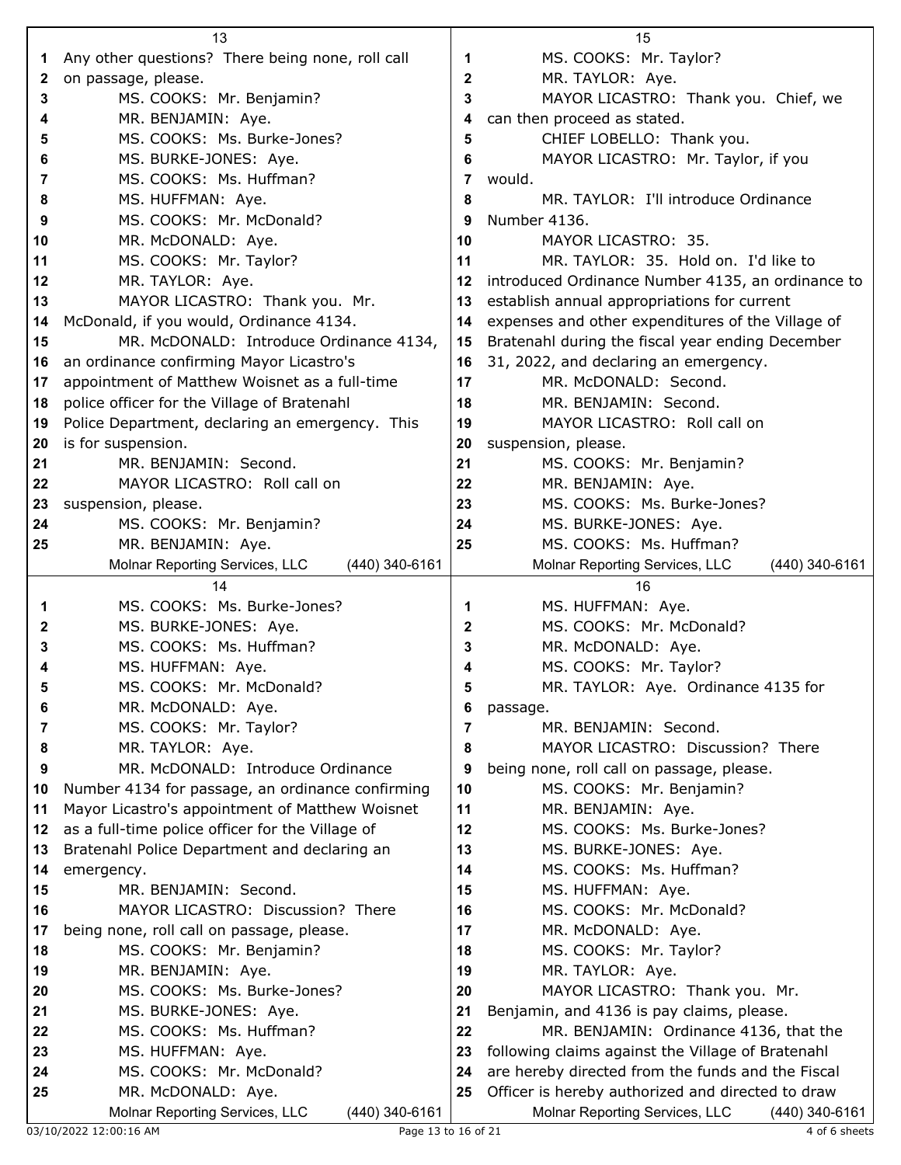|          | 13                                                                                                  |              | 15                                                 |
|----------|-----------------------------------------------------------------------------------------------------|--------------|----------------------------------------------------|
| 1        | Any other questions? There being none, roll call                                                    | 1            | MS. COOKS: Mr. Taylor?                             |
| 2        | on passage, please.                                                                                 | $\mathbf{2}$ | MR. TAYLOR: Aye.                                   |
| 3        | MS. COOKS: Mr. Benjamin?                                                                            | 3            | MAYOR LICASTRO: Thank you. Chief, we               |
| 4        | MR. BENJAMIN: Aye.                                                                                  | 4            | can then proceed as stated.                        |
| 5        | MS. COOKS: Ms. Burke-Jones?                                                                         | 5            | CHIEF LOBELLO: Thank you.                          |
| 6        | MS. BURKE-JONES: Aye.                                                                               | 6            | MAYOR LICASTRO: Mr. Taylor, if you                 |
| 7        | MS. COOKS: Ms. Huffman?                                                                             | 7            | would.                                             |
| 8        | MS. HUFFMAN: Aye.                                                                                   | 8            | MR. TAYLOR: I'll introduce Ordinance               |
| 9        | MS. COOKS: Mr. McDonald?                                                                            | 9            | Number 4136.                                       |
| 10       | MR. McDONALD: Aye.                                                                                  | 10           | MAYOR LICASTRO: 35.                                |
| 11       | MS. COOKS: Mr. Taylor?                                                                              | 11           | MR. TAYLOR: 35. Hold on. I'd like to               |
| 12       | MR. TAYLOR: Aye.                                                                                    | 12           | introduced Ordinance Number 4135, an ordinance to  |
| 13       | MAYOR LICASTRO: Thank you. Mr.                                                                      | 13           | establish annual appropriations for current        |
| 14       | McDonald, if you would, Ordinance 4134.                                                             | 14           | expenses and other expenditures of the Village of  |
| 15       | MR. McDONALD: Introduce Ordinance 4134,                                                             | 15           | Bratenahl during the fiscal year ending December   |
| 16       | an ordinance confirming Mayor Licastro's                                                            | 16           | 31, 2022, and declaring an emergency.              |
| 17       | appointment of Matthew Woisnet as a full-time                                                       | 17           | MR. McDONALD: Second.                              |
| 18       | police officer for the Village of Bratenahl                                                         | 18           | MR. BENJAMIN: Second.                              |
| 19       | Police Department, declaring an emergency. This                                                     | 19           | MAYOR LICASTRO: Roll call on                       |
| 20       | is for suspension.                                                                                  | 20           | suspension, please.                                |
| 21       | MR. BENJAMIN: Second.                                                                               | 21           | MS. COOKS: Mr. Benjamin?                           |
| 22       | MAYOR LICASTRO: Roll call on                                                                        | 22           | MR. BENJAMIN: Aye.                                 |
| 23       | suspension, please.                                                                                 | 23           | MS. COOKS: Ms. Burke-Jones?                        |
| 24       | MS. COOKS: Mr. Benjamin?                                                                            | 24           | MS. BURKE-JONES: Aye.                              |
| 25       | MR. BENJAMIN: Aye.                                                                                  | 25           | MS. COOKS: Ms. Huffman?                            |
|          | Molnar Reporting Services, LLC<br>(440) 340-6161                                                    |              | Molnar Reporting Services, LLC<br>$(440)$ 340-6161 |
|          | 14                                                                                                  |              | 16                                                 |
| 1        | MS. COOKS: Ms. Burke-Jones?                                                                         | 1            | MS. HUFFMAN: Aye.                                  |
| 2        | MS. BURKE-JONES: Aye.                                                                               | $\mathbf{2}$ | MS. COOKS: Mr. McDonald?                           |
| 3        | MS. COOKS: Ms. Huffman?                                                                             | 3            | MR. McDONALD: Aye.                                 |
| 4        | MS. HUFFMAN: Aye.                                                                                   | 4            | MS. COOKS: Mr. Taylor?                             |
| 5        | MS. COOKS: Mr. McDonald?                                                                            | 5            | MR. TAYLOR: Aye. Ordinance 4135 for                |
| 6        | MR. McDONALD: Aye.                                                                                  | 6            | passage.                                           |
| 7        | MS. COOKS: Mr. Taylor?                                                                              | 7            | MR. BENJAMIN: Second.                              |
| 8        | MR. TAYLOR: Aye.                                                                                    | 8            | MAYOR LICASTRO: Discussion? There                  |
| 9        | MR. McDONALD: Introduce Ordinance                                                                   | 9            | being none, roll call on passage, please.          |
| 10       | Number 4134 for passage, an ordinance confirming                                                    | 10           | MS. COOKS: Mr. Benjamin?                           |
| 11       | Mayor Licastro's appointment of Matthew Woisnet<br>as a full-time police officer for the Village of | 11<br>12     | MR. BENJAMIN: Aye.<br>MS. COOKS: Ms. Burke-Jones?  |
| 12<br>13 | Bratenahl Police Department and declaring an                                                        | 13           | MS. BURKE-JONES: Aye.                              |
| 14       | emergency.                                                                                          | 14           | MS. COOKS: Ms. Huffman?                            |
| 15       | MR. BENJAMIN: Second.                                                                               | 15           | MS. HUFFMAN: Aye.                                  |
| 16       | MAYOR LICASTRO: Discussion? There                                                                   | 16           | MS. COOKS: Mr. McDonald?                           |
| 17       | being none, roll call on passage, please.                                                           | 17           | MR. McDONALD: Aye.                                 |
| 18       | MS. COOKS: Mr. Benjamin?                                                                            | 18           | MS. COOKS: Mr. Taylor?                             |
| 19       | MR. BENJAMIN: Aye.                                                                                  | 19           | MR. TAYLOR: Aye.                                   |
| 20       | MS. COOKS: Ms. Burke-Jones?                                                                         | 20           | MAYOR LICASTRO: Thank you. Mr.                     |
| 21       | MS. BURKE-JONES: Aye.                                                                               | 21           | Benjamin, and 4136 is pay claims, please.          |
| 22       | MS. COOKS: Ms. Huffman?                                                                             | 22           | MR. BENJAMIN: Ordinance 4136, that the             |
| 23       | MS. HUFFMAN: Aye.                                                                                   | 23           | following claims against the Village of Bratenahl  |
| 24       | MS. COOKS: Mr. McDonald?                                                                            | 24           | are hereby directed from the funds and the Fiscal  |
| 25       | MR. McDONALD: Aye.                                                                                  | 25           | Officer is hereby authorized and directed to draw  |
|          | Molnar Reporting Services, LLC<br>(440) 340-6161                                                    |              | Molnar Reporting Services, LLC<br>(440) 340-6161   |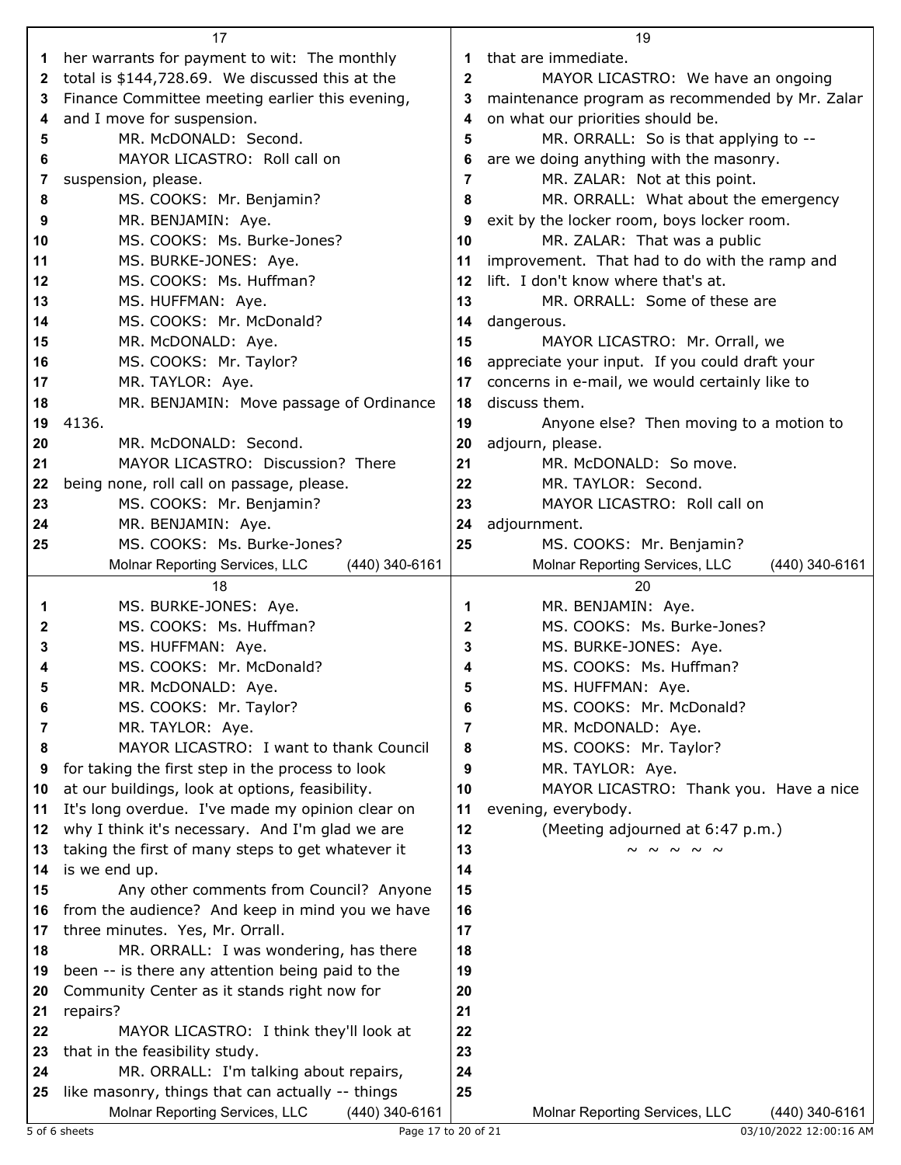|    | 17                                                                                                   |              | 19                                               |
|----|------------------------------------------------------------------------------------------------------|--------------|--------------------------------------------------|
| 1  | her warrants for payment to wit: The monthly                                                         |              | that are immediate.                              |
| 2  | total is \$144,728.69. We discussed this at the                                                      | $\mathbf{2}$ | MAYOR LICASTRO: We have an ongoing               |
| 3  | Finance Committee meeting earlier this evening,                                                      | 3            | maintenance program as recommended by Mr. Zalar  |
| 4  | and I move for suspension.                                                                           | 4            | on what our priorities should be.                |
| 5  | MR. McDONALD: Second.                                                                                | 5            | MR. ORRALL: So is that applying to --            |
| 6  | MAYOR LICASTRO: Roll call on                                                                         |              | are we doing anything with the masonry.          |
| 7  | suspension, please.                                                                                  | 7            | MR. ZALAR: Not at this point.                    |
| 8  | MS. COOKS: Mr. Benjamin?                                                                             | 8            | MR. ORRALL: What about the emergency             |
| 9  | MR. BENJAMIN: Aye.                                                                                   | 9            | exit by the locker room, boys locker room.       |
| 10 | MS. COOKS: Ms. Burke-Jones?                                                                          | 10           | MR. ZALAR: That was a public                     |
| 11 | MS. BURKE-JONES: Aye.                                                                                | 11           | improvement. That had to do with the ramp and    |
| 12 | MS. COOKS: Ms. Huffman?                                                                              | 12           | lift. I don't know where that's at.              |
| 13 | MS. HUFFMAN: Aye.                                                                                    | 13           | MR. ORRALL: Some of these are                    |
| 14 | MS. COOKS: Mr. McDonald?                                                                             | 14           | dangerous.                                       |
| 15 | MR. McDONALD: Aye.                                                                                   | 15           | MAYOR LICASTRO: Mr. Orrall, we                   |
| 16 | MS. COOKS: Mr. Taylor?                                                                               | 16           | appreciate your input. If you could draft your   |
| 17 | MR. TAYLOR: Aye.                                                                                     | 17           | concerns in e-mail, we would certainly like to   |
| 18 | MR. BENJAMIN: Move passage of Ordinance                                                              | 18           | discuss them.                                    |
| 19 | 4136.                                                                                                | 19           | Anyone else? Then moving to a motion to          |
| 20 | MR. McDONALD: Second.                                                                                | 20           | adjourn, please.                                 |
|    | MAYOR LICASTRO: Discussion? There                                                                    |              | MR. McDONALD: So move.                           |
| 21 |                                                                                                      | 21           | MR. TAYLOR: Second.                              |
| 22 | being none, roll call on passage, please.                                                            | 22           |                                                  |
| 23 | MS. COOKS: Mr. Benjamin?                                                                             | 23           | MAYOR LICASTRO: Roll call on                     |
| 24 | MR. BENJAMIN: Aye.                                                                                   | 24           | adjournment.                                     |
| 25 | MS. COOKS: Ms. Burke-Jones?                                                                          | 25           | MS. COOKS: Mr. Benjamin?                         |
|    | (440) 340-6161<br>Molnar Reporting Services, LLC                                                     |              | Molnar Reporting Services, LLC<br>(440) 340-6161 |
|    |                                                                                                      |              |                                                  |
|    | 18                                                                                                   |              | 20                                               |
| 1  | MS. BURKE-JONES: Aye.                                                                                | 1            | MR. BENJAMIN: Aye.                               |
| 2  | MS. COOKS: Ms. Huffman?                                                                              | $\mathbf{2}$ | MS. COOKS: Ms. Burke-Jones?                      |
| 3  | MS. HUFFMAN: Aye.                                                                                    | 3            | MS. BURKE-JONES: Aye.                            |
| 4  | MS. COOKS: Mr. McDonald?                                                                             |              | MS. COOKS: Ms. Huffman?                          |
|    | MR. McDONALD: Aye                                                                                    |              | MS. HUFFMAN: Aye.                                |
| 6  | MS. COOKS: Mr. Taylor?                                                                               | 6            | MS. COOKS: Mr. McDonald?                         |
| 7  | MR. TAYLOR: Aye.                                                                                     | 7            | MR. McDONALD: Aye.                               |
| 8  | MAYOR LICASTRO: I want to thank Council                                                              | 8            | MS. COOKS: Mr. Taylor?                           |
| 9  | for taking the first step in the process to look                                                     | 9            | MR. TAYLOR: Aye.                                 |
| 10 | at our buildings, look at options, feasibility.                                                      | 10           | MAYOR LICASTRO: Thank you. Have a nice           |
| 11 | It's long overdue. I've made my opinion clear on                                                     | 11           | evening, everybody.                              |
| 12 | why I think it's necessary. And I'm glad we are                                                      | 12           | (Meeting adjourned at 6:47 p.m.)                 |
| 13 | taking the first of many steps to get whatever it                                                    | 13           | $\sim$ $\sim$ $\sim$ $\sim$ $\sim$               |
| 14 | is we end up.                                                                                        | 14           |                                                  |
| 15 | Any other comments from Council? Anyone                                                              | 15           |                                                  |
| 16 | from the audience? And keep in mind you we have                                                      | 16           |                                                  |
| 17 | three minutes. Yes, Mr. Orrall.                                                                      | 17           |                                                  |
| 18 | MR. ORRALL: I was wondering, has there                                                               | 18           |                                                  |
| 19 | been -- is there any attention being paid to the                                                     | 19           |                                                  |
| 20 | Community Center as it stands right now for                                                          | 20           |                                                  |
| 21 | repairs?                                                                                             | 21           |                                                  |
| 22 | MAYOR LICASTRO: I think they'll look at                                                              | 22           |                                                  |
| 23 | that in the feasibility study.                                                                       | 23           |                                                  |
| 24 | MR. ORRALL: I'm talking about repairs,                                                               | 24           |                                                  |
| 25 | like masonry, things that can actually -- things<br>Molnar Reporting Services, LLC<br>(440) 340-6161 | 25           | Molnar Reporting Services, LLC<br>(440) 340-6161 |

5 of 6 sheets Page 17 to 20 of 21 03/10/2022 12:00:16 AM